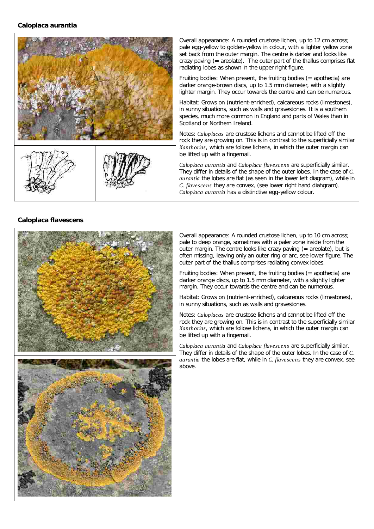## **Caloplaca aurantia**



# **Caloplaca flavescens**



Overall appearance: A rounded crustose lichen, up to 10 cm across; pale to deep orange, sometimes with a paler zone inside from the outer margin. The centre looks like crazy paving  $(= areolate)$ , but is often missing, leaving only an outer ring or arc, see lower figure. The outer part of the thallus comprises radiating convex lobes.

Fruiting bodies: When present, the fruiting bodies  $(=$  apothecia) are darker orange discs, up to 1.5 mm diameter, with a slightly lighter margin. They occur towards the centre and can be numerous.

Habitat: Grows on (nutrient-enriched), calcareous rocks (limestones), in sunny situations, such as walls and gravestones.

Notes: Caloplacas are crustose lichens and cannot be lifted off the rock they are growing on. This is in contrast to the superficially similar , which are foliose lichens, in which the outer margin can *Xanthorias* be lifted up with a fingernail.

Caloplaca aurantia and Caloplaca flavescens are superficially similar. They differ in details of the shape of the outer lobes. In the case of *C.* aurantia the lobes are flat, while in C. flavescens they are convex, see above.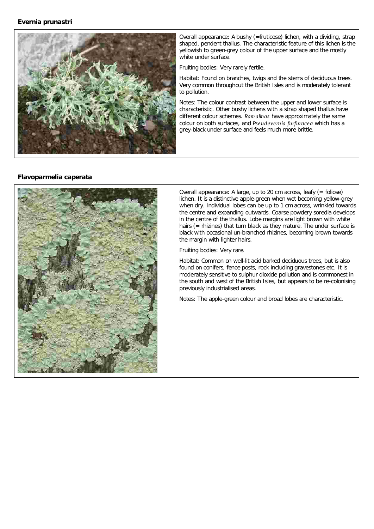### **Evernia prunastri**



Overall appearance: A bushy (=fruticose) lichen, with a dividing, strap shaped, pendent thallus. The characteristic feature of this lichen is the yellowish to green-grey colour of the upper surface and the mostly white under surface.

Fruiting bodies: Very rarely fertile.

Habitat: Found on branches, twigs and the stems of deciduous trees. Very common throughout the British Isles and is moderately tolerant to pollution.

Notes: The colour contrast between the upper and lower surface is characteristic. Other bushy lichens with a strap shaped thallus have different colour schemes. Ramalinas have approximately the same colour on both surfaces, and Pseudevemia furfuracea which has a grey-black under surface and feels much more brittle.

# **Flavoparmelia caperata**



Overall appearance: A large, up to 20 cm across, leafy (= foliose) lichen. It is a distinctive apple-green when wet becoming yellow-grey when dry. Individual lobes can be up to 1 cm across, wrinkled towards the centre and expanding outwards. Coarse powdery soredia develops in the centre of the thallus. Lobe margins are light brown with white hairs (= rhizines) that turn black as they mature. The under surface is black with occasional un-branched rhizines, becoming brown towards the margin with lighter hairs.

Fruiting bodies: Very rare.

Habitat: Common on well-lit acid barked deciduous trees, but is also found on conifers, fence posts, rock including gravestones etc. It is moderately sensitive to sulphur dioxide pollution and is commonest in the south and west of the British Isles, but appears to be re-colonising previously industrialised areas.

Notes: The apple-green colour and broad lobes are characteristic.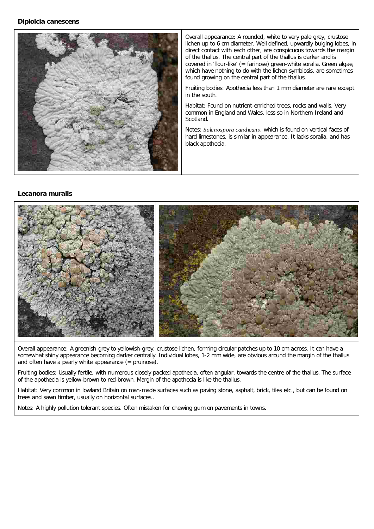

Overall appearance: A rounded, white to very pale grey, crustose lichen up to 6 cm diameter. Well defined, upwardly bulging lobes, in direct contact with each other, are conspicuous towards the margin of the thallus. The central part of the thallus is darker and is covered in 'flour-like' (= farinose) green-white soralia. Green algae, which have nothing to do with the lichen symbiosis, are sometimes found growing on the central part of the thallus.

Fruiting bodies: Apothecia less than 1 mm diameter are rare except in the south.

Habitat: Found on nutrient-enriched trees, rocks and walls. Very common in England and Wales, less so in Northern Ireland and Scotland.

Notes: Solenospora candicans, which is found on vertical faces of hard limestones, is similar in appearance. It lacks soralia, and has black apothecia.

#### **Lecanora muralis**



Overall appearance: A greenish-grey to yellowish-grey, crustose lichen, forming circular patches up to 10 cm across. It can have a somewhat shiny appearance becoming darker centrally. Individual lobes, 1-2 mm wide, are obvious around the margin of the thallus and often have a pearly white appearance (= pruinose).

Fruiting bodies: Usually fertile, with numerous closely packed apothecia, often angular, towards the centre of the thallus. The surface of the apothecia is yellow-brown to red-brown. Margin of the apothecia is like the thallus.

Habitat: Very common in lowland Britain on man-made surfaces such as paving stone, asphalt, brick, tiles etc., but can be found on trees and sawn timber, usually on horizontal surfaces..

Notes: A highly pollution tolerant species. Often mistaken for chewing gum on pavements in towns.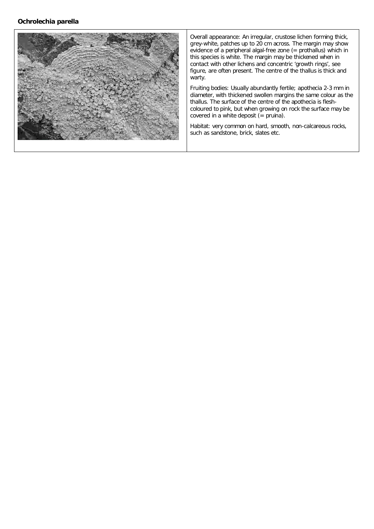

Overall appearance: An irregular, crustose lichen forming thick, grey-white, patches up to 20 cm across. The margin may show evidence of a peripheral algal-free zone (= prothallus) which in this species is white. The margin may be thickened when in contact with other lichens and concentric 'growth rings', see figure, are often present. The centre of the thallus is thick and warty.

Fruiting bodies: Usually abundantly fertile; apothecia 2-3 mm in diameter, with thickened swollen margins the same colour as the thallus. The surface of the centre of the apothecia is fleshcoloured to pink, but when growing on rock the surface may be covered in a white deposit (= pruina).

Habitat: very common on hard, smooth, non-calcareous rocks, such as sandstone, brick, slates etc.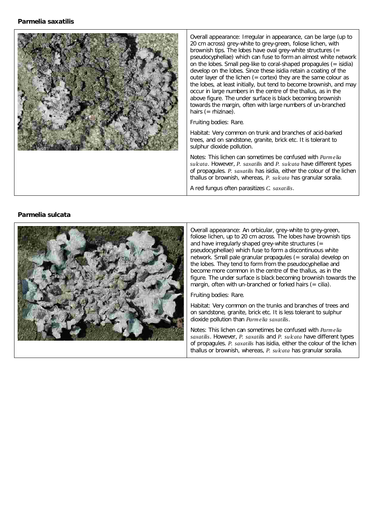

Overall appearance: Irregular in appearance, can be large (up to 20 cm across) grey-white to grey-green, foliose lichen, with brownish tips. The lobes have oval grey-white structures (= pseudocyphellae) which can fuse to form an almost white network on the lobes. Small peg-like to coral-shaped propagules (= isidia) develop on the lobes. Since these isidia retain a coating of the outer layer of the lichen  $(=$  cortex) they are the same colour as the lobes, at least initially, but tend to become brownish, and may occur in large numbers in the centre of the thallus, as in the above figure. The under surface is black becoming brownish towards the margin, often with large numbers of un-branched hairs (= rhizinae).

Fruiting bodies: Rare.

Habitat: Very common on trunk and branches of acid-barked trees, and on sandstone, granite, brick etc. It is tolerant to sulphur dioxide pollution.

Notes: This lichen can sometimes be confused with sulcata. However, P. saxatilis and P. sulcata have different types of propagules. P. saxatilis has isidia, either the colour of the lichen thallus or brownish, whereas, P. sulcata has granular soralia.

A red fungus often parasitizes C. saxatilis.

# **Parmelia** sulcata



Overall appearance: An orbicular, grey-white to grey-green, foliose lichen, up to 20 cm across. The lobes have brownish tips and have irregularly shaped grey-white structures (= pseudocyphellae) which fuse to form a discontinuous white network. Small pale granular propagules (= soralia) develop on the lobes. They tend to form from the pseudocyphellae and become more common in the centre of the thallus, as in the figure. The under surface is black becoming brownish towards the margin, often with un-branched or forked hairs  $(= c$ ilia). alia. *Parmelia*

Fruiting bodies: Rare.

Habitat: Very common on the trunks and branches of trees and on sandstone, granite, brick etc. It is less tolerant to sulphur dioxide pollution than Parmelia saxatilis.

Notes: This lichen can sometimes be confused with Parmelia saxatilis. However, P. saxatilis and P. sulcata have different types of propagules. P. saxatilis has isidia, either the colour of the lichen thallus or brownish, whereas, P. sulcata has granular sor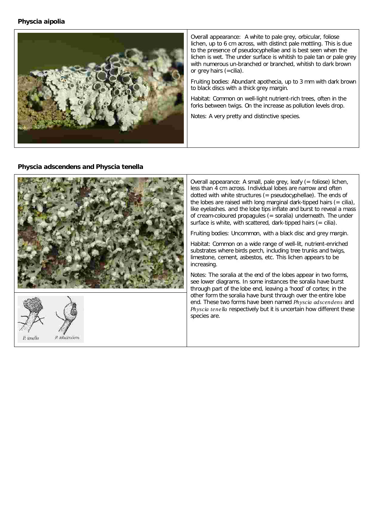**Physcia aipolia**



Overall appearance: A white to pale grey, orbicular, foliose lichen, up to 6 cm across, with distinct pale mottling. This is due to the presence of pseudocyphellae and is best seen when the lichen is wet. The under surface is whitish to pale tan or pale grey with numerous un-branched or branched, whitish to dark brown or grey hairs (=cilia).

Fruiting bodies: Abundant apothecia, up to 3 mm with dark brown to black discs with a thick grey margin.

Habitat: Common on well-light nutrient-rich trees, often in the forks between twigs. On the increase as pollution levels drop.

Notes: A very pretty and distinctive species.

**Physcia adscendens and Physcia tenella**



Overall appearance: A small, pale grey, leafy (= foliose) lichen, less than 4 cm across. Individual lobes are narrow and often dotted with white structures (= pseudocyphellae). The ends of the lobes are raised with long marginal dark-tipped hairs  $(= c$ ilia), like eyelashes. and the lobe tips inflate and burst to reveal a mass of cream-coloured propagules (= soralia) underneath. The under surface is white, with scattered, dark-tipped hairs  $(= c$ ilia).

Fruiting bodies: Uncommon, with a black disc and grey margin.

Habitat: Common on a wide range of well-lit, nutrient-enriched substrates where birds perch, including tree trunks and twigs, limestone, cement, asbestos, etc. This lichen appears to be increasing.

Notes: The soralia at the end of the lobes appear in two forms, see lower diagrams. In some instances the soralia have burst through part of the lobe end, leaving a 'hood' of cortex; in the other form the soralia have burst through over the entire lobe end. These two forms have been named Physcia adscendens and Physcia tenella respectively but it is uncertain how different these species are.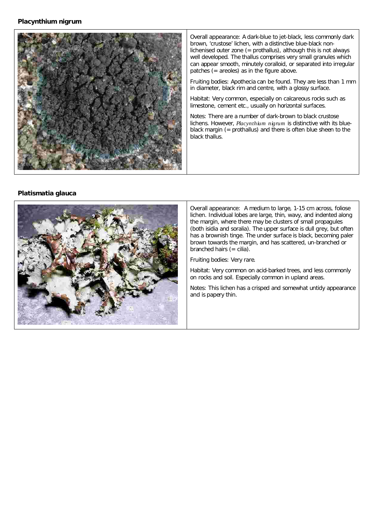#### **Placynthium nigrum**



Overall appearance: A dark-blue to jet-black, less commonly dark brown, 'crustose' lichen, with a distinctive blue-black nonlichenised outer zone (= prothallus), although this is not always well developed. The thallus comprises very small granules which can appear smooth, minutely coralloid, or separated into irregular patches (= areoles) as in the figure above.

Fruiting bodies: Apothecia can be found. They are less than 1 mm in diameter, black rim and centre, with a glossy surface.

Habitat: Very common, especially on calcareous rocks such as limestone, cement etc., usually on horizontal surfaces.

Notes: There are a number of dark-brown to black crustose lichens. However, Placynthium nigrum is distinctive with its blueblack margin (= prothallus) and there is often blue sheen to the black thallus.

# **Platismatia glauca**



Overall appearance: A medium to large, 1-15 cm across, foliose lichen. Individual lobes are large, thin, wavy, and indented along the margin, where there may be clusters of small propagules (both isidia and soralia). The upper surface is dull grey, but often has a brownish tinge. The under surface is black, becoming paler brown towards the margin, and has scattered, un-branched or branched hairs  $(= c$ ilia).

Fruiting bodies: Very rare.

Habitat: Very common on acid-barked trees, and less commonly on rocks and soil. Especially common in upland areas.

Notes: This lichen has a crisped and somewhat untidy appearance and is papery thin.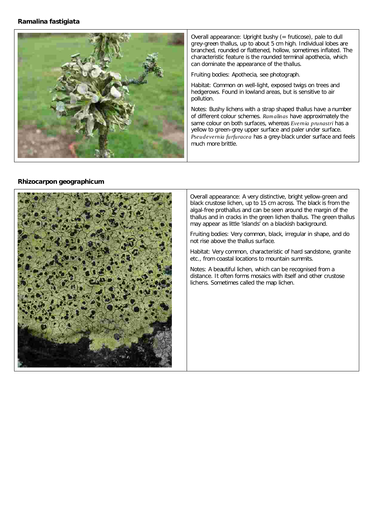# **Ramalina fastigiata**



Overall appearance: Upright bushy (= fruticose), pale to dull grey-green thallus, up to about 5 cm high. Individual lobes are branched, rounded or flattened, hollow, sometimes inflated. The characteristic feature is the rounded terminal apothecia, which can dominate the appearance of the thallus.

Fruiting bodies: Apothecia, see photograph.

Habitat: Common on well-light, exposed twigs on trees and hedgerows. Found in lowland areas, but is sensitive to air pollution.

Notes: Bushy lichens with a strap shaped thallus have a number of different colour schemes. Ramalinas have approximately the same colour on both surfaces, whereas Evemia prunastri has a yellow to green-grey upper surface and paler under surface. Pseudevernia furfuracea has a grey-black under surface and feels much more brittle.

### **Rhizocarpon geographicum**



Overall appearance: A very distinctive, bright yellow-green and black crustose lichen, up to 15 cm across. The black is from the algal-free prothallus and can be seen around the margin of the thallus and in cracks in the green lichen thallus. The green thallus may appear as little 'islands' on a blackish background.

Fruiting bodies: Very common, black, irregular in shape, and do not rise above the thallus surface.

Habitat: Very common, characteristic of hard sandstone, granite etc., from coastal locations to mountain summits.

Notes: A beautiful lichen, which can be recognised from a distance. It often forms mosaics with itself and other crustose lichens. Sometimes called the map lichen.